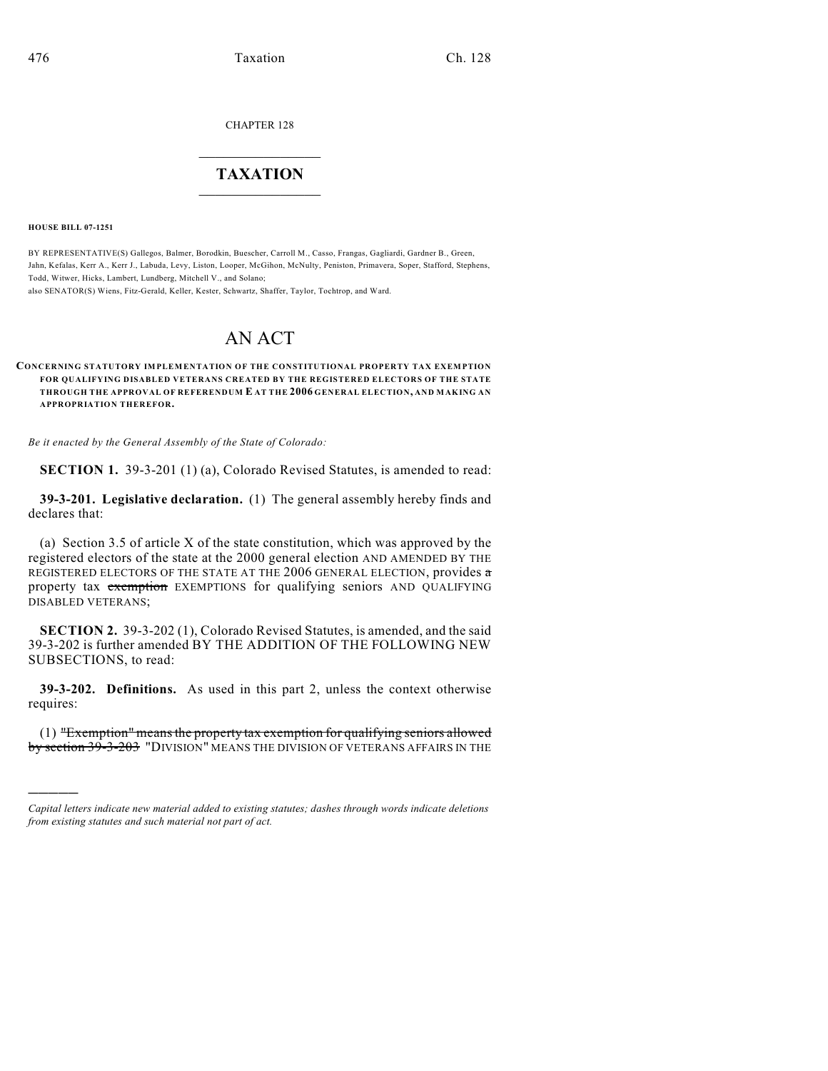CHAPTER 128

# $\overline{\phantom{a}}$  . The set of the set of the set of the set of the set of the set of the set of the set of the set of the set of the set of the set of the set of the set of the set of the set of the set of the set of the set o **TAXATION**  $\_$

**HOUSE BILL 07-1251**

)))))

BY REPRESENTATIVE(S) Gallegos, Balmer, Borodkin, Buescher, Carroll M., Casso, Frangas, Gagliardi, Gardner B., Green, Jahn, Kefalas, Kerr A., Kerr J., Labuda, Levy, Liston, Looper, McGihon, McNulty, Peniston, Primavera, Soper, Stafford, Stephens, Todd, Witwer, Hicks, Lambert, Lundberg, Mitchell V., and Solano;

also SENATOR(S) Wiens, Fitz-Gerald, Keller, Kester, Schwartz, Shaffer, Taylor, Tochtrop, and Ward.

# AN ACT

#### **CONCERNING STATUTORY IMPLEMENTATION OF THE CONSTITUTIONAL PROPERTY TAX EXEMPTION FOR QUALIFYING DISABLED VETERANS CREATED BY THE REGISTERED ELECTORS OF THE STATE THROUGH THE APPROVAL OF REFERENDUM E AT THE 2006 GENERAL ELECTION, AND MAKING AN APPROPRIATION THEREFOR.**

*Be it enacted by the General Assembly of the State of Colorado:*

**SECTION 1.** 39-3-201 (1) (a), Colorado Revised Statutes, is amended to read:

**39-3-201. Legislative declaration.** (1) The general assembly hereby finds and declares that:

(a) Section 3.5 of article X of the state constitution, which was approved by the registered electors of the state at the 2000 general election AND AMENDED BY THE REGISTERED ELECTORS OF THE STATE AT THE 2006 GENERAL ELECTION, provides a property tax exemption EXEMPTIONS for qualifying seniors AND QUALIFYING DISABLED VETERANS;

**SECTION 2.** 39-3-202 (1), Colorado Revised Statutes, is amended, and the said 39-3-202 is further amended BY THE ADDITION OF THE FOLLOWING NEW SUBSECTIONS, to read:

**39-3-202. Definitions.** As used in this part 2, unless the context otherwise requires:

(1) "Exemption" means the property tax exemption for qualifying seniors allowed by section 39-3-203 "DIVISION" MEANS THE DIVISION OF VETERANS AFFAIRS IN THE

*Capital letters indicate new material added to existing statutes; dashes through words indicate deletions from existing statutes and such material not part of act.*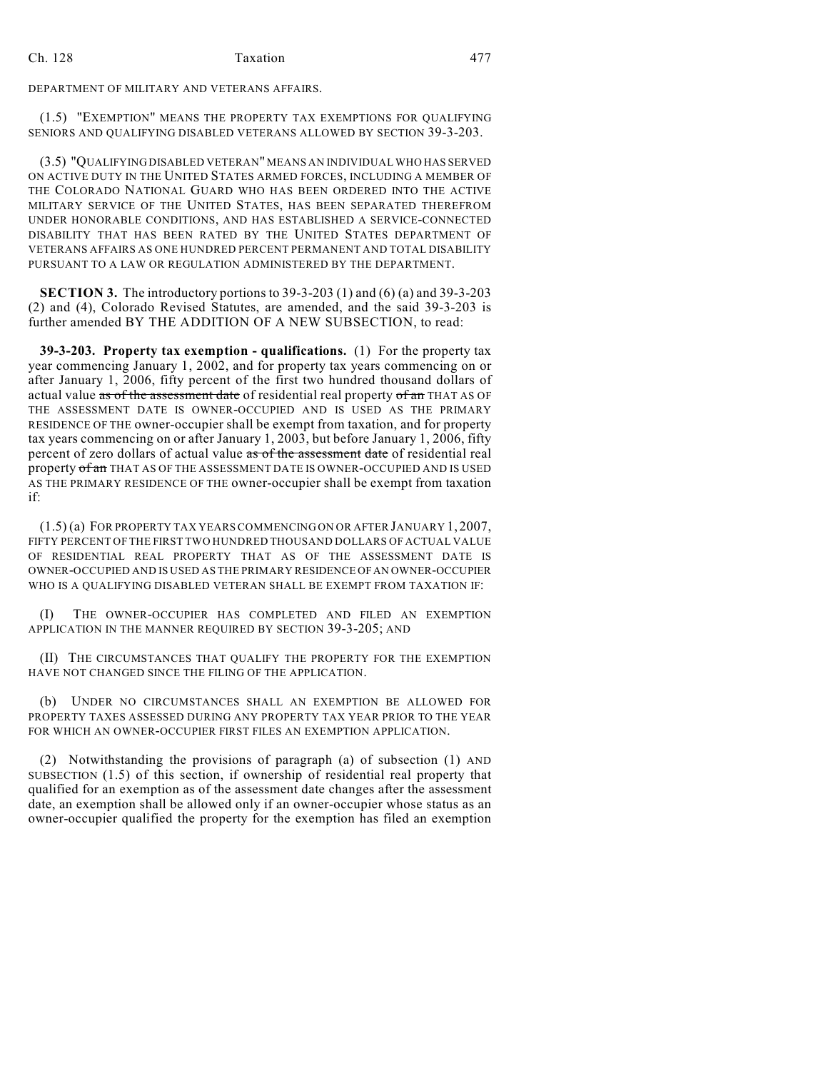DEPARTMENT OF MILITARY AND VETERANS AFFAIRS.

(1.5) "EXEMPTION" MEANS THE PROPERTY TAX EXEMPTIONS FOR QUALIFYING SENIORS AND QUALIFYING DISABLED VETERANS ALLOWED BY SECTION 39-3-203.

(3.5) "QUALIFYING DISABLED VETERAN" MEANS AN INDIVIDUAL WHO HAS SERVED ON ACTIVE DUTY IN THE UNITED STATES ARMED FORCES, INCLUDING A MEMBER OF THE COLORADO NATIONAL GUARD WHO HAS BEEN ORDERED INTO THE ACTIVE MILITARY SERVICE OF THE UNITED STATES, HAS BEEN SEPARATED THEREFROM UNDER HONORABLE CONDITIONS, AND HAS ESTABLISHED A SERVICE-CONNECTED DISABILITY THAT HAS BEEN RATED BY THE UNITED STATES DEPARTMENT OF VETERANS AFFAIRS AS ONE HUNDRED PERCENT PERMANENT AND TOTAL DISABILITY PURSUANT TO A LAW OR REGULATION ADMINISTERED BY THE DEPARTMENT.

**SECTION 3.** The introductory portions to 39-3-203 (1) and (6) (a) and 39-3-203 (2) and (4), Colorado Revised Statutes, are amended, and the said 39-3-203 is further amended BY THE ADDITION OF A NEW SUBSECTION, to read:

**39-3-203. Property tax exemption - qualifications.** (1) For the property tax year commencing January 1, 2002, and for property tax years commencing on or after January 1, 2006, fifty percent of the first two hundred thousand dollars of actual value as of the assessment date of residential real property of an THAT AS OF THE ASSESSMENT DATE IS OWNER-OCCUPIED AND IS USED AS THE PRIMARY RESIDENCE OF THE owner-occupier shall be exempt from taxation, and for property tax years commencing on or after January 1, 2003, but before January 1, 2006, fifty percent of zero dollars of actual value as of the assessment date of residential real property of an THAT AS OF THE ASSESSMENT DATE IS OWNER-OCCUPIED AND IS USED AS THE PRIMARY RESIDENCE OF THE owner-occupier shall be exempt from taxation if:

(1.5) (a) FOR PROPERTY TAX YEARS COMMENCING ON OR AFTER JANUARY 1, 2007, FIFTY PERCENT OF THE FIRST TWO HUNDRED THOUSAND DOLLARS OF ACTUAL VALUE OF RESIDENTIAL REAL PROPERTY THAT AS OF THE ASSESSMENT DATE IS OWNER-OCCUPIED AND IS USED AS THE PRIMARY RESIDENCE OF AN OWNER-OCCUPIER WHO IS A QUALIFYING DISABLED VETERAN SHALL BE EXEMPT FROM TAXATION IF:

(I) THE OWNER-OCCUPIER HAS COMPLETED AND FILED AN EXEMPTION APPLICATION IN THE MANNER REQUIRED BY SECTION 39-3-205; AND

(II) THE CIRCUMSTANCES THAT QUALIFY THE PROPERTY FOR THE EXEMPTION HAVE NOT CHANGED SINCE THE FILING OF THE APPLICATION.

(b) UNDER NO CIRCUMSTANCES SHALL AN EXEMPTION BE ALLOWED FOR PROPERTY TAXES ASSESSED DURING ANY PROPERTY TAX YEAR PRIOR TO THE YEAR FOR WHICH AN OWNER-OCCUPIER FIRST FILES AN EXEMPTION APPLICATION.

(2) Notwithstanding the provisions of paragraph (a) of subsection (1) AND SUBSECTION (1.5) of this section, if ownership of residential real property that qualified for an exemption as of the assessment date changes after the assessment date, an exemption shall be allowed only if an owner-occupier whose status as an owner-occupier qualified the property for the exemption has filed an exemption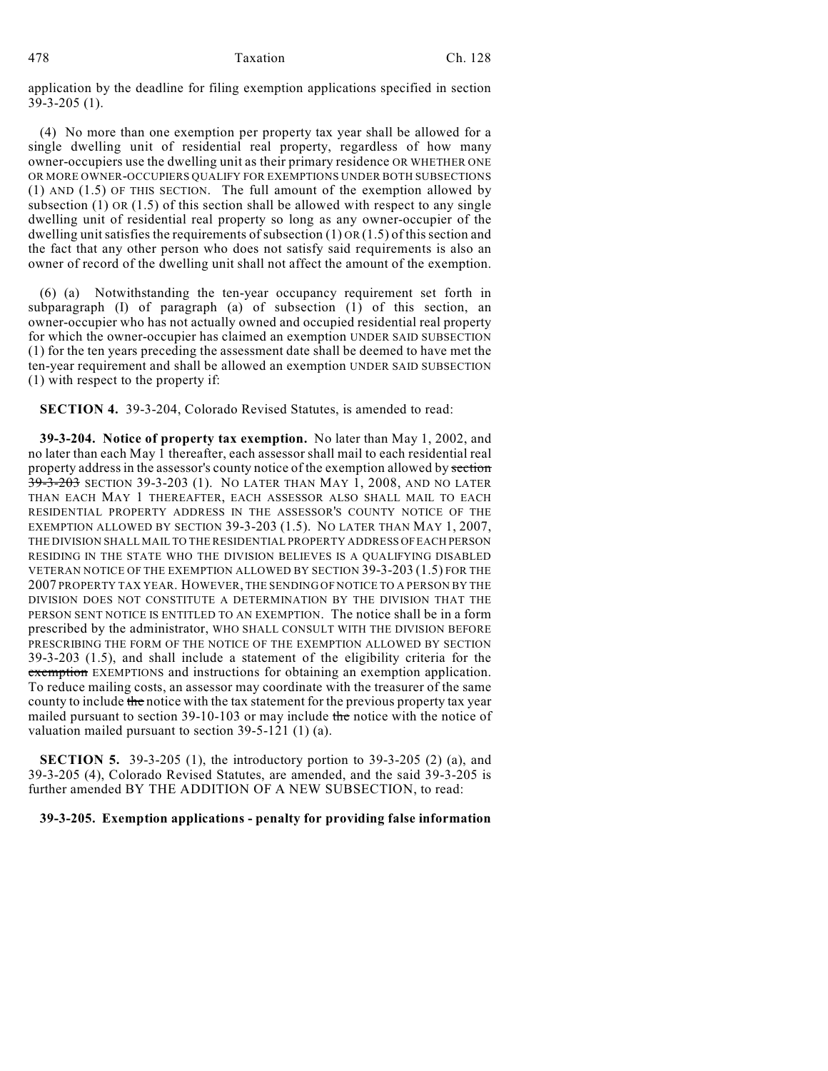application by the deadline for filing exemption applications specified in section 39-3-205 (1).

(4) No more than one exemption per property tax year shall be allowed for a single dwelling unit of residential real property, regardless of how many owner-occupiers use the dwelling unit as their primary residence OR WHETHER ONE OR MORE OWNER-OCCUPIERS QUALIFY FOR EXEMPTIONS UNDER BOTH SUBSECTIONS (1) AND (1.5) OF THIS SECTION. The full amount of the exemption allowed by subsection (1) OR  $(1.5)$  of this section shall be allowed with respect to any single dwelling unit of residential real property so long as any owner-occupier of the dwelling unit satisfies the requirements of subsection (1) OR (1.5) of this section and the fact that any other person who does not satisfy said requirements is also an owner of record of the dwelling unit shall not affect the amount of the exemption.

(6) (a) Notwithstanding the ten-year occupancy requirement set forth in subparagraph (I) of paragraph (a) of subsection (1) of this section, an owner-occupier who has not actually owned and occupied residential real property for which the owner-occupier has claimed an exemption UNDER SAID SUBSECTION (1) for the ten years preceding the assessment date shall be deemed to have met the ten-year requirement and shall be allowed an exemption UNDER SAID SUBSECTION (1) with respect to the property if:

**SECTION 4.** 39-3-204, Colorado Revised Statutes, is amended to read:

**39-3-204. Notice of property tax exemption.** No later than May 1, 2002, and no later than each May 1 thereafter, each assessor shall mail to each residential real property address in the assessor's county notice of the exemption allowed by section 39-3-203 SECTION 39-3-203 (1). NO LATER THAN MAY 1, 2008, AND NO LATER THAN EACH MAY 1 THEREAFTER, EACH ASSESSOR ALSO SHALL MAIL TO EACH RESIDENTIAL PROPERTY ADDRESS IN THE ASSESSOR'S COUNTY NOTICE OF THE EXEMPTION ALLOWED BY SECTION 39-3-203 (1.5). NO LATER THAN MAY 1, 2007, THE DIVISION SHALL MAIL TO THE RESIDENTIAL PROPERTY ADDRESS OF EACH PERSON RESIDING IN THE STATE WHO THE DIVISION BELIEVES IS A QUALIFYING DISABLED VETERAN NOTICE OF THE EXEMPTION ALLOWED BY SECTION 39-3-203 (1.5) FOR THE 2007 PROPERTY TAX YEAR. HOWEVER, THE SENDING OF NOTICE TO A PERSON BY THE DIVISION DOES NOT CONSTITUTE A DETERMINATION BY THE DIVISION THAT THE PERSON SENT NOTICE IS ENTITLED TO AN EXEMPTION. The notice shall be in a form prescribed by the administrator, WHO SHALL CONSULT WITH THE DIVISION BEFORE PRESCRIBING THE FORM OF THE NOTICE OF THE EXEMPTION ALLOWED BY SECTION 39-3-203 (1.5), and shall include a statement of the eligibility criteria for the exemption EXEMPTIONS and instructions for obtaining an exemption application. To reduce mailing costs, an assessor may coordinate with the treasurer of the same county to include the notice with the tax statement for the previous property tax year mailed pursuant to section  $39-10-103$  or may include the notice with the notice of valuation mailed pursuant to section 39-5-121 (1) (a).

**SECTION 5.** 39-3-205 (1), the introductory portion to 39-3-205 (2) (a), and 39-3-205 (4), Colorado Revised Statutes, are amended, and the said 39-3-205 is further amended BY THE ADDITION OF A NEW SUBSECTION, to read:

**39-3-205. Exemption applications - penalty for providing false information**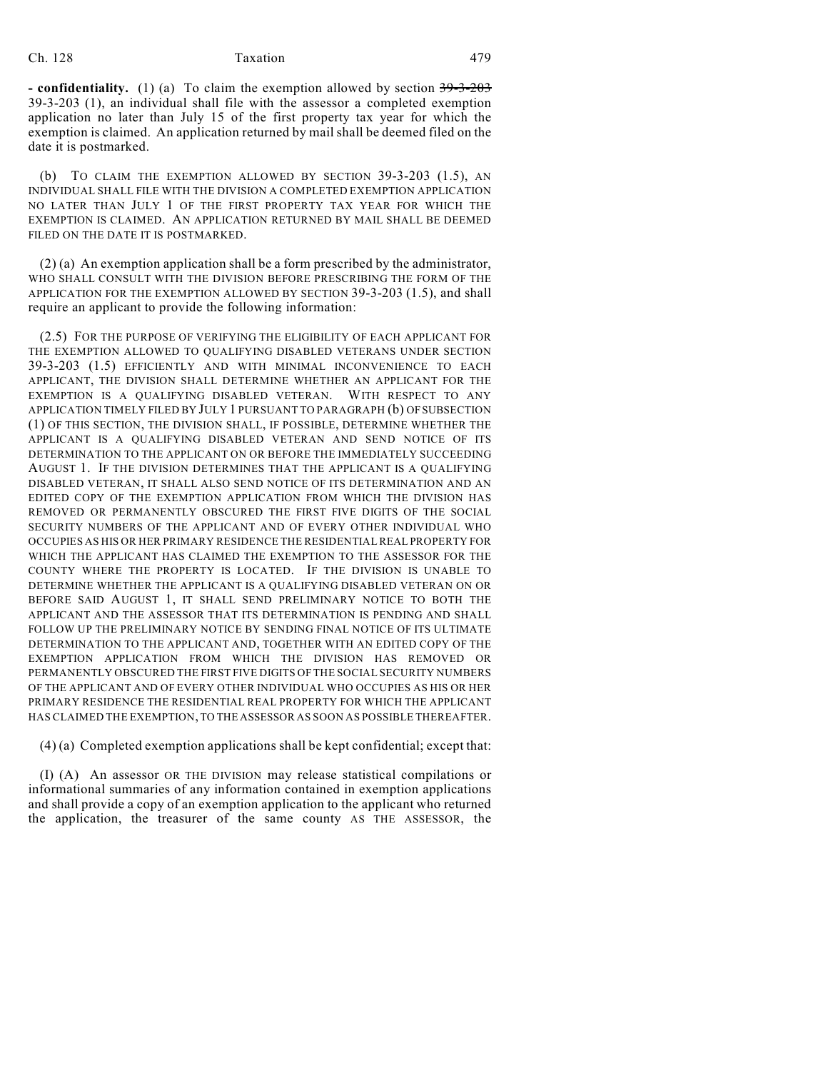### Ch. 128 Taxation 479

**- confidentiality.** (1) (a) To claim the exemption allowed by section  $39-3-203$ 39-3-203 (1), an individual shall file with the assessor a completed exemption application no later than July 15 of the first property tax year for which the exemption is claimed. An application returned by mail shall be deemed filed on the date it is postmarked.

(b) TO CLAIM THE EXEMPTION ALLOWED BY SECTION 39-3-203 (1.5), AN INDIVIDUAL SHALL FILE WITH THE DIVISION A COMPLETED EXEMPTION APPLICATION NO LATER THAN JULY 1 OF THE FIRST PROPERTY TAX YEAR FOR WHICH THE EXEMPTION IS CLAIMED. AN APPLICATION RETURNED BY MAIL SHALL BE DEEMED FILED ON THE DATE IT IS POSTMARKED.

(2) (a) An exemption application shall be a form prescribed by the administrator, WHO SHALL CONSULT WITH THE DIVISION BEFORE PRESCRIBING THE FORM OF THE APPLICATION FOR THE EXEMPTION ALLOWED BY SECTION 39-3-203 (1.5), and shall require an applicant to provide the following information:

(2.5) FOR THE PURPOSE OF VERIFYING THE ELIGIBILITY OF EACH APPLICANT FOR THE EXEMPTION ALLOWED TO QUALIFYING DISABLED VETERANS UNDER SECTION 39-3-203 (1.5) EFFICIENTLY AND WITH MINIMAL INCONVENIENCE TO EACH APPLICANT, THE DIVISION SHALL DETERMINE WHETHER AN APPLICANT FOR THE EXEMPTION IS A QUALIFYING DISABLED VETERAN. WITH RESPECT TO ANY APPLICATION TIMELY FILED BY JULY 1 PURSUANT TO PARAGRAPH (b) OF SUBSECTION (1) OF THIS SECTION, THE DIVISION SHALL, IF POSSIBLE, DETERMINE WHETHER THE APPLICANT IS A QUALIFYING DISABLED VETERAN AND SEND NOTICE OF ITS DETERMINATION TO THE APPLICANT ON OR BEFORE THE IMMEDIATELY SUCCEEDING AUGUST 1. IF THE DIVISION DETERMINES THAT THE APPLICANT IS A QUALIFYING DISABLED VETERAN, IT SHALL ALSO SEND NOTICE OF ITS DETERMINATION AND AN EDITED COPY OF THE EXEMPTION APPLICATION FROM WHICH THE DIVISION HAS REMOVED OR PERMANENTLY OBSCURED THE FIRST FIVE DIGITS OF THE SOCIAL SECURITY NUMBERS OF THE APPLICANT AND OF EVERY OTHER INDIVIDUAL WHO OCCUPIES AS HIS OR HER PRIMARY RESIDENCE THE RESIDENTIAL REAL PROPERTY FOR WHICH THE APPLICANT HAS CLAIMED THE EXEMPTION TO THE ASSESSOR FOR THE COUNTY WHERE THE PROPERTY IS LOCATED. IF THE DIVISION IS UNABLE TO DETERMINE WHETHER THE APPLICANT IS A QUALIFYING DISABLED VETERAN ON OR BEFORE SAID AUGUST 1, IT SHALL SEND PRELIMINARY NOTICE TO BOTH THE APPLICANT AND THE ASSESSOR THAT ITS DETERMINATION IS PENDING AND SHALL FOLLOW UP THE PRELIMINARY NOTICE BY SENDING FINAL NOTICE OF ITS ULTIMATE DETERMINATION TO THE APPLICANT AND, TOGETHER WITH AN EDITED COPY OF THE EXEMPTION APPLICATION FROM WHICH THE DIVISION HAS REMOVED OR PERMANENTLY OBSCURED THE FIRST FIVE DIGITS OF THE SOCIAL SECURITY NUMBERS OF THE APPLICANT AND OF EVERY OTHER INDIVIDUAL WHO OCCUPIES AS HIS OR HER PRIMARY RESIDENCE THE RESIDENTIAL REAL PROPERTY FOR WHICH THE APPLICANT HAS CLAIMED THE EXEMPTION, TO THE ASSESSOR AS SOON AS POSSIBLE THEREAFTER.

(4) (a) Completed exemption applications shall be kept confidential; except that:

(I) (A) An assessor OR THE DIVISION may release statistical compilations or informational summaries of any information contained in exemption applications and shall provide a copy of an exemption application to the applicant who returned the application, the treasurer of the same county AS THE ASSESSOR, the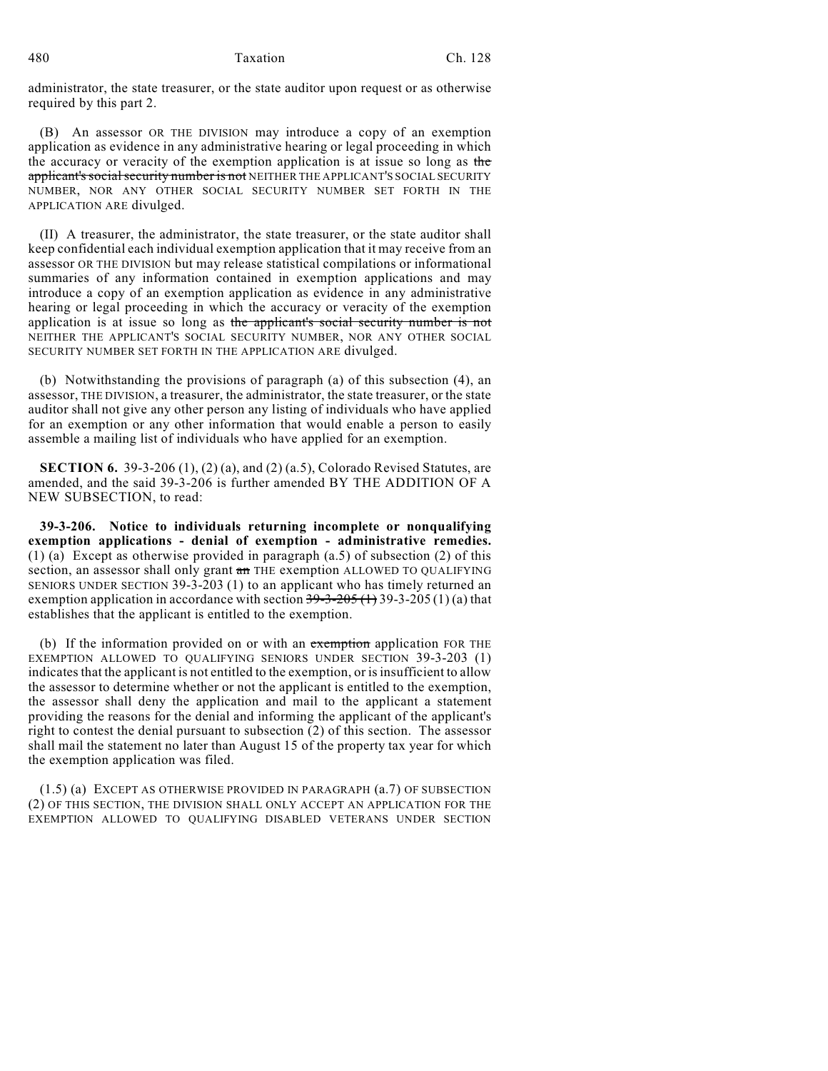administrator, the state treasurer, or the state auditor upon request or as otherwise required by this part 2.

(B) An assessor OR THE DIVISION may introduce a copy of an exemption application as evidence in any administrative hearing or legal proceeding in which the accuracy or veracity of the exemption application is at issue so long as the applicant's social security number is not NEITHER THE APPLICANT'S SOCIAL SECURITY NUMBER, NOR ANY OTHER SOCIAL SECURITY NUMBER SET FORTH IN THE APPLICATION ARE divulged.

(II) A treasurer, the administrator, the state treasurer, or the state auditor shall keep confidential each individual exemption application that it may receive from an assessor OR THE DIVISION but may release statistical compilations or informational summaries of any information contained in exemption applications and may introduce a copy of an exemption application as evidence in any administrative hearing or legal proceeding in which the accuracy or veracity of the exemption application is at issue so long as the applicant's social security number is not NEITHER THE APPLICANT'S SOCIAL SECURITY NUMBER, NOR ANY OTHER SOCIAL SECURITY NUMBER SET FORTH IN THE APPLICATION ARE divulged.

(b) Notwithstanding the provisions of paragraph (a) of this subsection (4), an assessor, THE DIVISION, a treasurer, the administrator, the state treasurer, or the state auditor shall not give any other person any listing of individuals who have applied for an exemption or any other information that would enable a person to easily assemble a mailing list of individuals who have applied for an exemption.

**SECTION 6.** 39-3-206 (1), (2) (a), and (2) (a.5), Colorado Revised Statutes, are amended, and the said 39-3-206 is further amended BY THE ADDITION OF A NEW SUBSECTION, to read:

**39-3-206. Notice to individuals returning incomplete or nonqualifying exemption applications - denial of exemption - administrative remedies.** (1) (a) Except as otherwise provided in paragraph (a.5) of subsection (2) of this section, an assessor shall only grant an THE exemption ALLOWED TO QUALIFYING SENIORS UNDER SECTION 39-3-203 (1) to an applicant who has timely returned an exemption application in accordance with section  $39-3-205$  (1)  $(3)$  a) that establishes that the applicant is entitled to the exemption.

(b) If the information provided on or with an exemption application FOR THE EXEMPTION ALLOWED TO QUALIFYING SENIORS UNDER SECTION 39-3-203 (1) indicates that the applicant is not entitled to the exemption, or is insufficient to allow the assessor to determine whether or not the applicant is entitled to the exemption, the assessor shall deny the application and mail to the applicant a statement providing the reasons for the denial and informing the applicant of the applicant's right to contest the denial pursuant to subsection (2) of this section. The assessor shall mail the statement no later than August 15 of the property tax year for which the exemption application was filed.

(1.5) (a) EXCEPT AS OTHERWISE PROVIDED IN PARAGRAPH (a.7) OF SUBSECTION (2) OF THIS SECTION, THE DIVISION SHALL ONLY ACCEPT AN APPLICATION FOR THE EXEMPTION ALLOWED TO QUALIFYING DISABLED VETERANS UNDER SECTION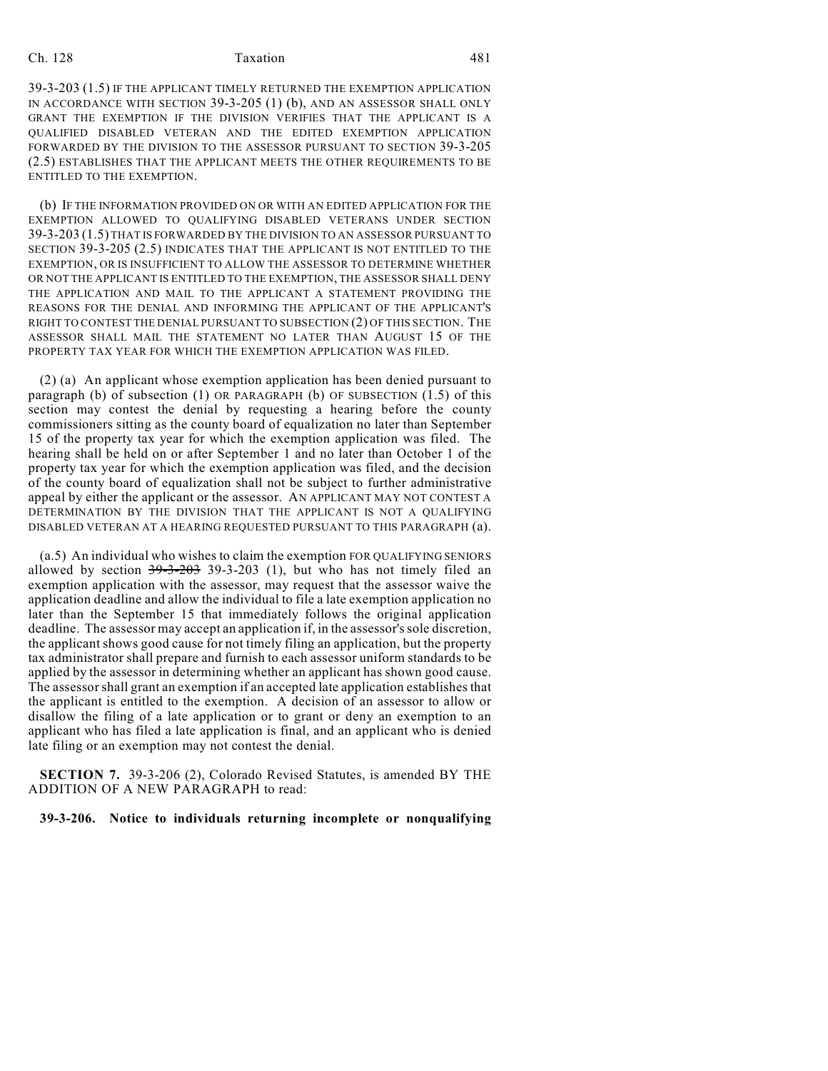## Ch. 128 Taxation 181

39-3-203 (1.5) IF THE APPLICANT TIMELY RETURNED THE EXEMPTION APPLICATION IN ACCORDANCE WITH SECTION 39-3-205 (1) (b), AND AN ASSESSOR SHALL ONLY GRANT THE EXEMPTION IF THE DIVISION VERIFIES THAT THE APPLICANT IS A QUALIFIED DISABLED VETERAN AND THE EDITED EXEMPTION APPLICATION FORWARDED BY THE DIVISION TO THE ASSESSOR PURSUANT TO SECTION 39-3-205 (2.5) ESTABLISHES THAT THE APPLICANT MEETS THE OTHER REQUIREMENTS TO BE ENTITLED TO THE EXEMPTION.

(b) IF THE INFORMATION PROVIDED ON OR WITH AN EDITED APPLICATION FOR THE EXEMPTION ALLOWED TO QUALIFYING DISABLED VETERANS UNDER SECTION 39-3-203 (1.5) THAT IS FORWARDED BY THE DIVISION TO AN ASSESSOR PURSUANT TO SECTION 39-3-205 (2.5) INDICATES THAT THE APPLICANT IS NOT ENTITLED TO THE EXEMPTION, OR IS INSUFFICIENT TO ALLOW THE ASSESSOR TO DETERMINE WHETHER OR NOT THE APPLICANT IS ENTITLED TO THE EXEMPTION, THE ASSESSOR SHALL DENY THE APPLICATION AND MAIL TO THE APPLICANT A STATEMENT PROVIDING THE REASONS FOR THE DENIAL AND INFORMING THE APPLICANT OF THE APPLICANT'S RIGHT TO CONTEST THE DENIAL PURSUANT TO SUBSECTION (2) OF THIS SECTION. THE ASSESSOR SHALL MAIL THE STATEMENT NO LATER THAN AUGUST 15 OF THE PROPERTY TAX YEAR FOR WHICH THE EXEMPTION APPLICATION WAS FILED.

(2) (a) An applicant whose exemption application has been denied pursuant to paragraph (b) of subsection (1) OR PARAGRAPH (b) OF SUBSECTION (1.5) of this section may contest the denial by requesting a hearing before the county commissioners sitting as the county board of equalization no later than September 15 of the property tax year for which the exemption application was filed. The hearing shall be held on or after September 1 and no later than October 1 of the property tax year for which the exemption application was filed, and the decision of the county board of equalization shall not be subject to further administrative appeal by either the applicant or the assessor. AN APPLICANT MAY NOT CONTEST A DETERMINATION BY THE DIVISION THAT THE APPLICANT IS NOT A QUALIFYING DISABLED VETERAN AT A HEARING REQUESTED PURSUANT TO THIS PARAGRAPH (a).

(a.5) An individual who wishes to claim the exemption FOR QUALIFYING SENIORS allowed by section  $39-3-203$  39-3-203 (1), but who has not timely filed an exemption application with the assessor, may request that the assessor waive the application deadline and allow the individual to file a late exemption application no later than the September 15 that immediately follows the original application deadline. The assessor may accept an application if, in the assessor's sole discretion, the applicant shows good cause for not timely filing an application, but the property tax administrator shall prepare and furnish to each assessor uniform standards to be applied by the assessor in determining whether an applicant has shown good cause. The assessor shall grant an exemption if an accepted late application establishes that the applicant is entitled to the exemption. A decision of an assessor to allow or disallow the filing of a late application or to grant or deny an exemption to an applicant who has filed a late application is final, and an applicant who is denied late filing or an exemption may not contest the denial.

**SECTION 7.** 39-3-206 (2), Colorado Revised Statutes, is amended BY THE ADDITION OF A NEW PARAGRAPH to read:

**39-3-206. Notice to individuals returning incomplete or nonqualifying**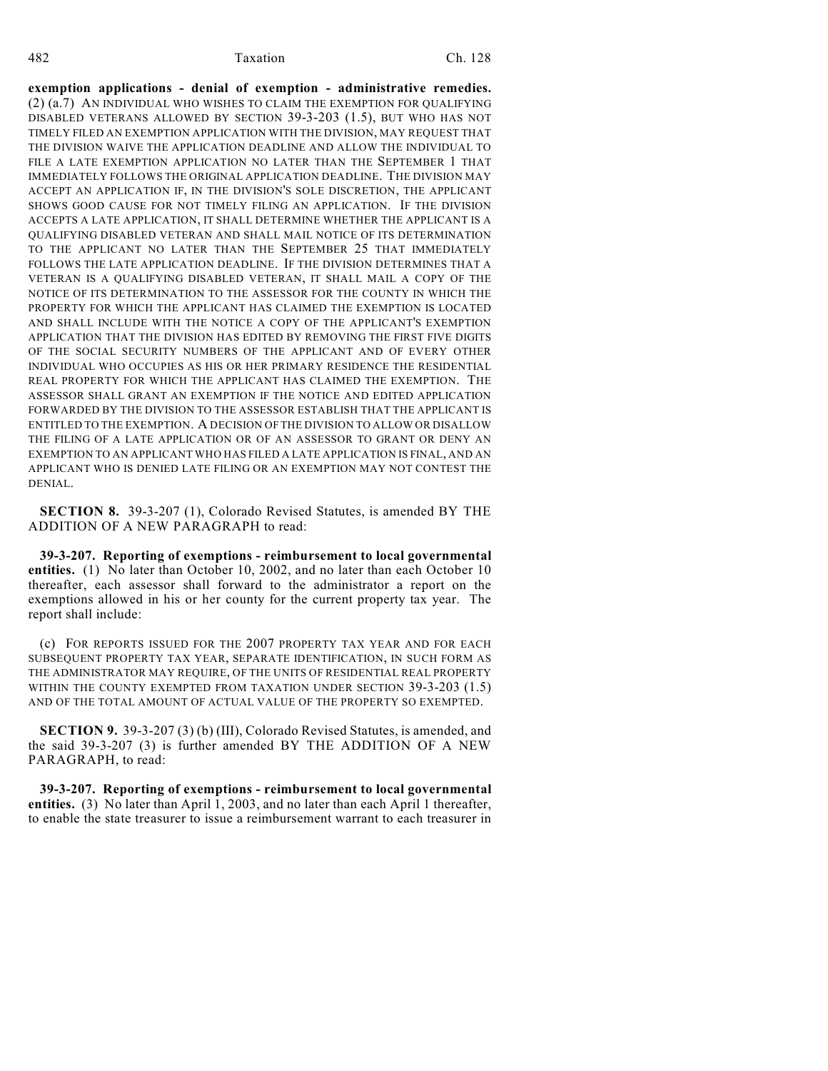**exemption applications - denial of exemption - administrative remedies.** (2) (a.7) AN INDIVIDUAL WHO WISHES TO CLAIM THE EXEMPTION FOR QUALIFYING DISABLED VETERANS ALLOWED BY SECTION 39-3-203 (1.5), BUT WHO HAS NOT TIMELY FILED AN EXEMPTION APPLICATION WITH THE DIVISION, MAY REQUEST THAT THE DIVISION WAIVE THE APPLICATION DEADLINE AND ALLOW THE INDIVIDUAL TO FILE A LATE EXEMPTION APPLICATION NO LATER THAN THE SEPTEMBER 1 THAT IMMEDIATELY FOLLOWS THE ORIGINAL APPLICATION DEADLINE. THE DIVISION MAY ACCEPT AN APPLICATION IF, IN THE DIVISION'S SOLE DISCRETION, THE APPLICANT SHOWS GOOD CAUSE FOR NOT TIMELY FILING AN APPLICATION. IF THE DIVISION ACCEPTS A LATE APPLICATION, IT SHALL DETERMINE WHETHER THE APPLICANT IS A QUALIFYING DISABLED VETERAN AND SHALL MAIL NOTICE OF ITS DETERMINATION TO THE APPLICANT NO LATER THAN THE SEPTEMBER 25 THAT IMMEDIATELY FOLLOWS THE LATE APPLICATION DEADLINE. IF THE DIVISION DETERMINES THAT A VETERAN IS A QUALIFYING DISABLED VETERAN, IT SHALL MAIL A COPY OF THE NOTICE OF ITS DETERMINATION TO THE ASSESSOR FOR THE COUNTY IN WHICH THE PROPERTY FOR WHICH THE APPLICANT HAS CLAIMED THE EXEMPTION IS LOCATED AND SHALL INCLUDE WITH THE NOTICE A COPY OF THE APPLICANT'S EXEMPTION APPLICATION THAT THE DIVISION HAS EDITED BY REMOVING THE FIRST FIVE DIGITS OF THE SOCIAL SECURITY NUMBERS OF THE APPLICANT AND OF EVERY OTHER INDIVIDUAL WHO OCCUPIES AS HIS OR HER PRIMARY RESIDENCE THE RESIDENTIAL REAL PROPERTY FOR WHICH THE APPLICANT HAS CLAIMED THE EXEMPTION. THE ASSESSOR SHALL GRANT AN EXEMPTION IF THE NOTICE AND EDITED APPLICATION FORWARDED BY THE DIVISION TO THE ASSESSOR ESTABLISH THAT THE APPLICANT IS ENTITLED TO THE EXEMPTION. A DECISION OF THE DIVISION TO ALLOW OR DISALLOW THE FILING OF A LATE APPLICATION OR OF AN ASSESSOR TO GRANT OR DENY AN EXEMPTION TO AN APPLICANT WHO HAS FILED A LATE APPLICATION IS FINAL, AND AN APPLICANT WHO IS DENIED LATE FILING OR AN EXEMPTION MAY NOT CONTEST THE DENIAL.

**SECTION 8.** 39-3-207 (1), Colorado Revised Statutes, is amended BY THE ADDITION OF A NEW PARAGRAPH to read:

**39-3-207. Reporting of exemptions - reimbursement to local governmental entities.** (1) No later than October 10, 2002, and no later than each October 10 thereafter, each assessor shall forward to the administrator a report on the exemptions allowed in his or her county for the current property tax year. The report shall include:

(c) FOR REPORTS ISSUED FOR THE 2007 PROPERTY TAX YEAR AND FOR EACH SUBSEQUENT PROPERTY TAX YEAR, SEPARATE IDENTIFICATION, IN SUCH FORM AS THE ADMINISTRATOR MAY REQUIRE, OF THE UNITS OF RESIDENTIAL REAL PROPERTY WITHIN THE COUNTY EXEMPTED FROM TAXATION UNDER SECTION 39-3-203 (1.5) AND OF THE TOTAL AMOUNT OF ACTUAL VALUE OF THE PROPERTY SO EXEMPTED.

**SECTION 9.** 39-3-207 (3) (b) (III), Colorado Revised Statutes, is amended, and the said 39-3-207 (3) is further amended BY THE ADDITION OF A NEW PARAGRAPH, to read:

**39-3-207. Reporting of exemptions - reimbursement to local governmental entities.** (3) No later than April 1, 2003, and no later than each April 1 thereafter, to enable the state treasurer to issue a reimbursement warrant to each treasurer in